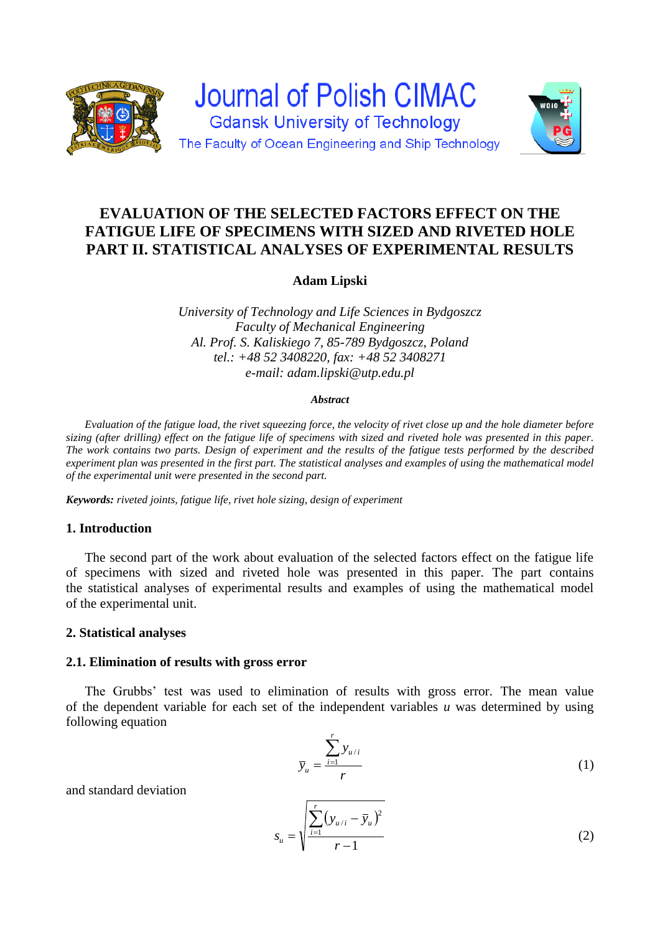



# **EVALUATION OF THE SELECTED FACTORS EFFECT ON THE FATIGUE LIFE OF SPECIMENS WITH SIZED AND RIVETED HOLE PART II. STATISTICAL ANALYSES OF EXPERIMENTAL RESULTS**

**Adam Lipski**

*University of Technology and Life Sciences in Bydgoszcz Faculty of Mechanical Engineering Al. Prof. S. Kaliskiego 7, 85-789 Bydgoszcz, Poland tel.: +48 52 3408220, fax: +48 52 3408271 e-mail: adam.lipski@utp.edu.pl*

#### *Abstract*

*Evaluation of the fatigue load, the rivet squeezing force, the velocity of rivet close up and the hole diameter before sizing (after drilling) effect on the fatigue life of specimens with sized and riveted hole was presented in this paper. The work contains two parts. Design of experiment and the results of the fatigue tests performed by the described experiment plan was presented in the first part. The statistical analyses and examples of using the mathematical model of the experimental unit were presented in the second part.*

*Keywords: riveted joints, fatigue life, rivet hole sizing, design of experiment*

## **1. Introduction**

The second part of the work about evaluation of the selected factors effect on the fatigue life of specimens with sized and riveted hole was presented in this paper. The part contains the statistical analyses of experimental results and examples of using the mathematical model of the experimental unit.

#### **2. Statistical analyses**

#### **2.1. Elimination of results with gross error**

The Grubbs' test was used to elimination of results with gross error. The mean value of the dependent variable for each set of the independent variables *u* was determined by using following equation

$$
\overline{y}_u = \frac{\sum_{i=1}^r y_{u/i}}{r}
$$
 (1)

and standard deviation

$$
s_u = \sqrt{\frac{\sum_{i=1}^{r} (y_{u/i} - \overline{y}_u)^2}{r - 1}}
$$
 (2)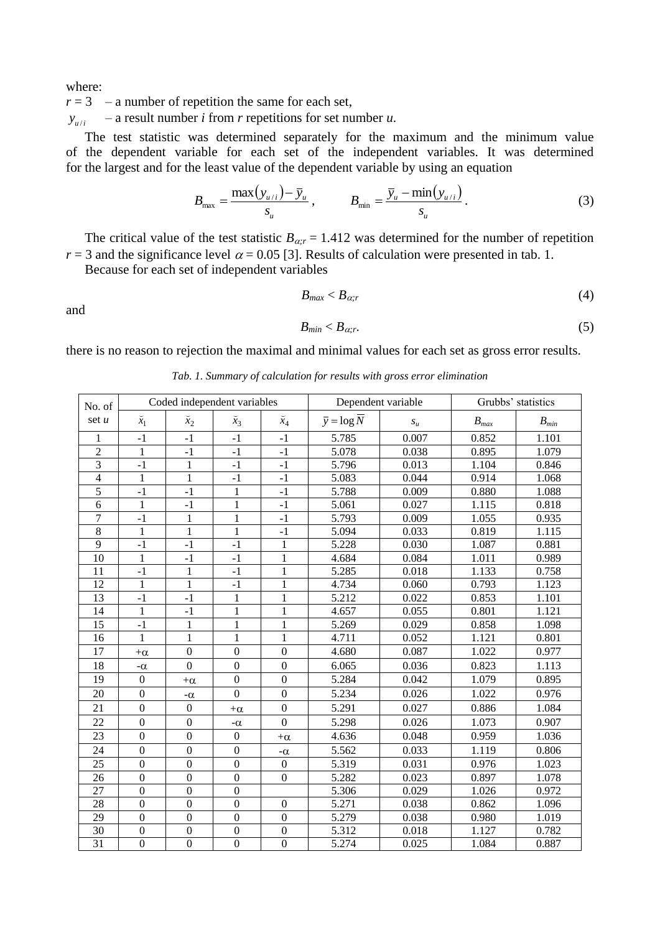where:

 $r = 3 - a$  number of repetition the same for each set,

 $y_{u/i}$ *y* / – a result number *i* from *r* repetitions for set number *u*.

The test statistic was determined separately for the maximum and the minimum value of the dependent variable for each set of the independent variables. It was determined for the largest and for the least value of the dependent variable by using an equation

$$
B_{\max} = \frac{\max(y_{u/i}) - \overline{y}_u}{s_u}, \qquad B_{\min} = \frac{\overline{y}_u - \min(y_{u/i})}{s_u}.
$$
 (3)

The critical value of the test statistic  $B_{\alpha r} = 1.412$  was determined for the number of repetition  $r = 3$  and the significance level  $\alpha = 0.05$  [3]. Results of calculation were presented in tab. 1.

Because for each set of independent variables

$$
B_{max} < B_{\alpha;r} \tag{4}
$$

and

$$
B_{\min} < B_{\alpha; r}.\tag{5}
$$

there is no reason to rejection the maximal and minimal values for each set as gross error results.

| No. of          | Coded independent variables |                  |                  |                  | Dependent variable                 | Grubbs' statistics                          |           |           |
|-----------------|-----------------------------|------------------|------------------|------------------|------------------------------------|---------------------------------------------|-----------|-----------|
| set $u$         | $\breve{x}_1$               | $\bar{x}_2$      | $\bar{x}_3$      | $\check{x}_4$    | $\overline{y} = \log \overline{N}$ | $\boldsymbol{S}_{\boldsymbol{\mathcal{U}}}$ | $B_{max}$ | $B_{min}$ |
| 1               | $-1$                        | $-1$             | $-1$             | $-1$             | 5.785                              | 0.007                                       | 0.852     | 1.101     |
| $\overline{2}$  | $\mathbf{1}$                | $-1$             | $-1$             | $-1$             | 5.078                              | 0.038                                       | 0.895     | 1.079     |
| $\overline{3}$  | $-1$                        | $\mathbf{1}$     | $-1$             | $-1$             | 5.796                              | 0.013                                       | 1.104     | 0.846     |
| $\overline{4}$  | 1                           | $\mathbf{1}$     | $-1$             | $-1$             | 5.083                              | 0.044                                       | 0.914     | 1.068     |
| $\overline{5}$  | $-1$                        | $-1$             | $\mathbf{1}$     | $-1$             | 5.788                              | 0.009                                       | 0.880     | 1.088     |
| $\overline{6}$  | 1                           | $-1$             | 1                | $-1$             | 5.061                              | 0.027                                       | 1.115     | 0.818     |
| 7               | $-1$                        | 1                | $\mathbf{1}$     | $-1$             | 5.793                              | 0.009                                       | 1.055     | 0.935     |
| 8               | $\mathbf{1}$                | $\mathbf{1}$     | $\mathbf{1}$     | $-1$             | 5.094                              | 0.033                                       | 0.819     | 1.115     |
| $\overline{9}$  | $-1$                        | $-1$             | $-1$             | $\mathbf{1}$     | 5.228                              | 0.030                                       | 1.087     | 0.881     |
| 10              | $\mathbf{1}$                | $-1$             | $-1$             | $\mathbf{1}$     | 4.684                              | 0.084                                       | 1.011     | 0.989     |
| 11              | $-1$                        | $\,1$            | $-1$             | $\mathbf 1$      | 5.285                              | 0.018                                       | 1.133     | 0.758     |
| $\overline{12}$ | 1                           | 1                | $-1$             | 1                | 4.734                              | 0.060                                       | 0.793     | 1.123     |
| 13              | $-1$                        | $-1$             | 1                | $\mathbf{1}$     | 5.212                              | 0.022                                       | 0.853     | 1.101     |
| 14              | 1                           | $-1$             | 1                | $\mathbf{1}$     | 4.657                              | 0.055                                       | 0.801     | 1.121     |
| 15              | $-1$                        | $\mathbf{1}$     | 1                | $\mathbf{1}$     | 5.269                              | 0.029                                       | 0.858     | 1.098     |
| 16              | $\mathbf{1}$                | $\mathbf{1}$     | $\mathbf{1}$     | $\mathbf{1}$     | 4.711                              | 0.052                                       | 1.121     | 0.801     |
| 17              | $+\alpha$                   | $\boldsymbol{0}$ | $\boldsymbol{0}$ | $\boldsymbol{0}$ | 4.680                              | 0.087                                       | 1.022     | 0.977     |
| 18              | $-\alpha$                   | $\boldsymbol{0}$ | $\mathbf{0}$     | $\mathbf{0}$     | 6.065                              | 0.036                                       | 0.823     | 1.113     |
| 19              | $\mathbf{0}$                | $+\alpha$        | $\boldsymbol{0}$ | $\mathbf{0}$     | 5.284                              | 0.042                                       | 1.079     | 0.895     |
| 20              | $\overline{0}$              | $-\alpha$        | $\overline{0}$   | $\overline{0}$   | 5.234                              | 0.026                                       | 1.022     | 0.976     |
| 21              | $\mathbf{0}$                | $\boldsymbol{0}$ | $+\alpha$        | $\boldsymbol{0}$ | 5.291                              | 0.027                                       | 0.886     | 1.084     |
| 22              | $\overline{0}$              | $\boldsymbol{0}$ | $-\alpha$        | $\overline{0}$   | 5.298                              | 0.026                                       | 1.073     | 0.907     |
| 23              | $\boldsymbol{0}$            | $\boldsymbol{0}$ | $\boldsymbol{0}$ | $+\alpha$        | 4.636                              | 0.048                                       | 0.959     | 1.036     |
| 24              | $\boldsymbol{0}$            | $\boldsymbol{0}$ | $\boldsymbol{0}$ | $-\alpha$        | 5.562                              | 0.033                                       | 1.119     | 0.806     |
| 25              | $\mathbf{0}$                | $\mathbf{0}$     | $\overline{0}$   | $\mathbf{0}$     | 5.319                              | 0.031                                       | 0.976     | 1.023     |
| 26              | $\overline{0}$              | $\boldsymbol{0}$ | $\mathbf{0}$     | $\boldsymbol{0}$ | 5.282                              | 0.023                                       | 0.897     | 1.078     |
| 27              | $\mathbf{0}$                | $\boldsymbol{0}$ | $\overline{0}$   |                  | 5.306                              | 0.029                                       | 1.026     | 0.972     |
| 28              | $\mathbf{0}$                | $\mathbf{0}$     | $\overline{0}$   | $\boldsymbol{0}$ | 5.271                              | 0.038                                       | 0.862     | 1.096     |
| 29              | $\boldsymbol{0}$            | $\boldsymbol{0}$ | $\boldsymbol{0}$ | $\boldsymbol{0}$ | 5.279                              | 0.038                                       | 0.980     | 1.019     |
| 30              | $\boldsymbol{0}$            | $\boldsymbol{0}$ | $\boldsymbol{0}$ | $\boldsymbol{0}$ | 5.312                              | 0.018                                       | 1.127     | 0.782     |
| $\overline{31}$ | $\mathbf{0}$                | $\boldsymbol{0}$ | $\overline{0}$   | $\boldsymbol{0}$ | 5.274                              | 0.025                                       | 1.084     | 0.887     |

*Tab. 1. Summary of calculation for results with gross error elimination*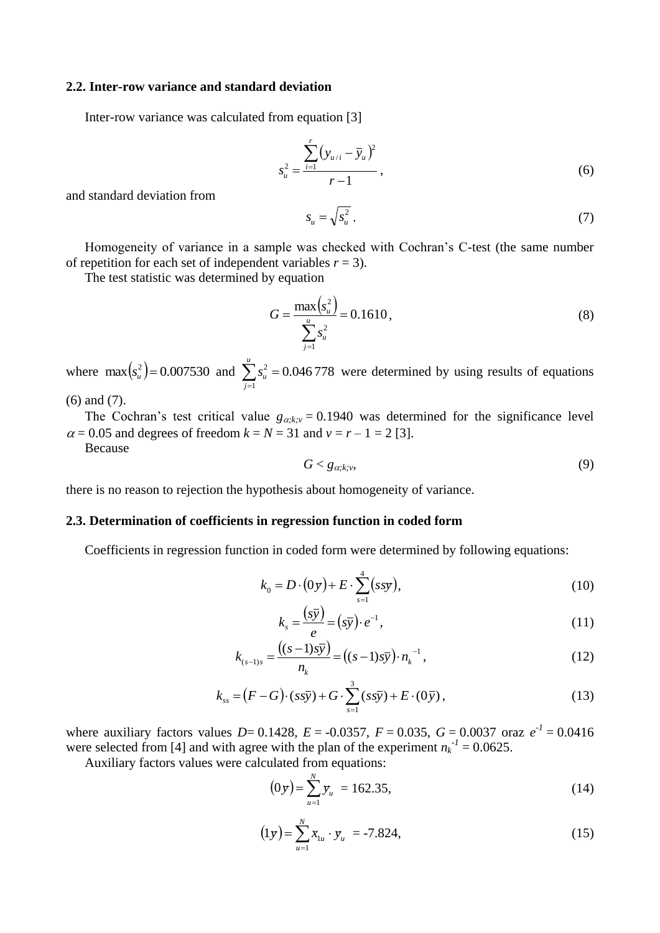#### **2.2. Inter-row variance and standard deviation**

Inter-row variance was calculated from equation [3]

$$
s_u^2 = \frac{\sum_{i=1}^r (y_{u/i} - \bar{y}_u)^2}{r - 1},
$$
\n(6)

and standard deviation from

$$
s_u = \sqrt{s_u^2} \,. \tag{7}
$$

Homogeneity of variance in a sample was checked with Cochran's C-test (the same number of repetition for each set of independent variables  $r = 3$ ).

The test statistic was determined by equation

$$
G = \frac{\max\left(s_u^2\right)}{\sum_{j=1}^u s_u^2} = 0.1610\,,\tag{8}
$$

where  $\max(s_u^2) = 0.007530$  and  $\sum s_u^2 = 0.046778$  $\sum_{j=1} S_u^2 =$ *u j*  $s_u^2$  = 0.046778 were determined by using results of equations

(6) and (7).

The Cochran's test critical value  $g_{\alpha;k;\nu} = 0.1940$  was determined for the significance level  $\alpha = 0.05$  and degrees of freedom  $k = N = 31$  and  $\nu = r - 1 = 2$  [3]. Because

$$
G < g_{\alpha;k;\nu},\tag{9}
$$

there is no reason to rejection the hypothesis about homogeneity of variance.

## **2.3. Determination of coefficients in regression function in coded form**

Coefficients in regression function in coded form were determined by following equations:

$$
k_0 = D \cdot (0y) + E \cdot \sum_{s=1}^{4} (ssy),
$$
 (10)

$$
k_s = \frac{(s\overline{y})}{e} = (s\overline{y}) \cdot e^{-1},\tag{11}
$$

$$
k_{(s-1)s} = \frac{((s-1)s\bar{y})}{n_k} = ((s-1)s\bar{y}) \cdot n_k^{-1},
$$
\n(12)

$$
k_{ss} = (F - G) \cdot (s\bar{s}\bar{y}) + G \cdot \sum_{s=1}^{3} (s\bar{s}\bar{y}) + E \cdot (0\bar{y}), \qquad (13)
$$

where auxiliary factors values  $D= 0.1428$ ,  $E = -0.0357$ ,  $F = 0.035$ ,  $G = 0.0037$  oraz  $e^{-1} = 0.0416$ were selected from [4] and with agree with the plan of the experiment  $n_k^{-1} = 0.0625$ .

Auxiliary factors values were calculated from equations:

$$
(0y) = \sum_{u=1}^{N} y_u = 162.35, \tag{14}
$$

$$
(1y) = \sum_{u=1}^{N} \bar{x}_{1u} \cdot y_u = -7.824,
$$
\n(15)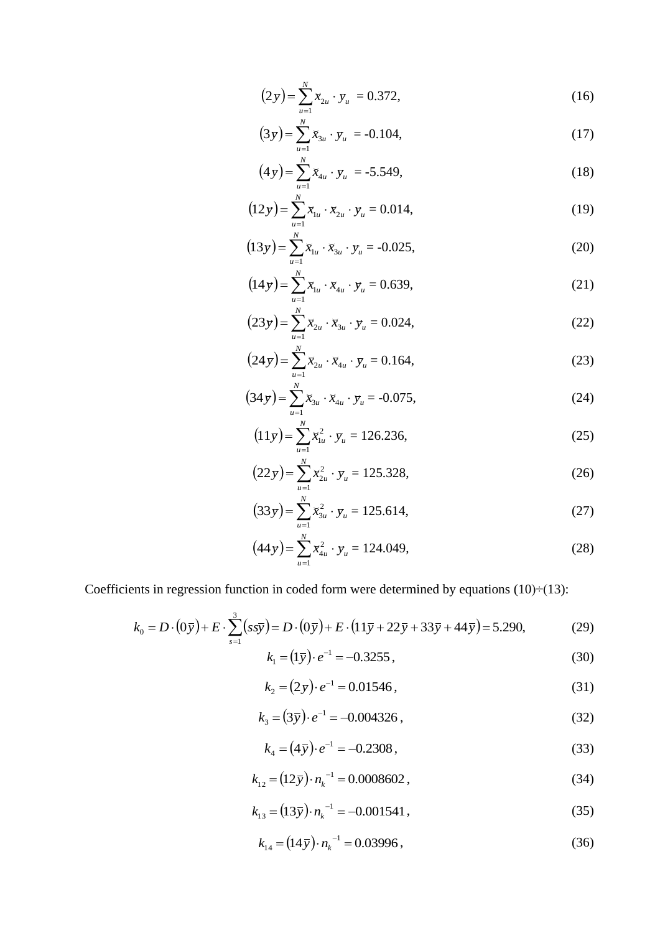$$
(2y) = \sum_{u=1}^{N} \bar{x}_{2u} \cdot y_u = 0.372, \qquad (16)
$$

$$
(3y) = \sum_{u=1}^{N} x_{3u} \cdot y_u = -0.104,
$$
\n(17)

$$
(4y) = \sum_{u=1}^{N} x_{4u} \cdot y_u = -5.549,
$$
 (18)

$$
(12y) = \sum_{u=1}^{N} \bar{x}_{1u} \cdot \bar{x}_{2u} \cdot y_u = 0.014, \qquad (19)
$$

$$
(13y) = \sum_{u=1}^{N} x_{1u} \cdot x_{3u} \cdot y_u = -0.025,
$$
 (20)

$$
(14 y) = \sum_{u=1}^{N} x_{1u} \cdot x_{4u} \cdot y_u = 0.639,
$$
 (21)

$$
(23y) = \sum_{u=1}^{N} \bar{x}_{2u} \cdot \bar{x}_{3u} \cdot y_u = 0.024,
$$
 (22)

$$
(24 y) = \sum_{u=1}^{N} \bar{x}_{2u} \cdot \bar{x}_{4u} \cdot y_u = 0.164,
$$
 (23)

$$
(34 y) = \sum_{u=1}^{N} x_{3u} \cdot x_{4u} \cdot y_u = -0.075, \tag{24}
$$

$$
(11y) = \sum_{u=1}^{N} \bar{x}_{1u}^2 \cdot y_u = 126.236,
$$
 (25)

$$
(22 y) = \sum_{u=1}^{N} \bar{x}_{2u}^2 \cdot y_u = 125.328,
$$
 (26)

$$
(33y) = \sum_{u=1}^{N} x_{3u}^2 \cdot y_u = 125.614,
$$
 (27)

$$
(44 y) = \sum_{u=1}^{N} x_{4u}^{2} \cdot y_{u} = 124.049,
$$
 (28)

Coefficients in regression function in coded form were determined by equations  $(10) \div (13)$ :

$$
k_0 = D \cdot (0\bar{y}) + E \cdot \sum_{s=1}^{3} (s s \bar{y}) = D \cdot (0\bar{y}) + E \cdot (11\bar{y} + 22\bar{y} + 33\bar{y} + 44\bar{y}) = 5.290,
$$
 (29)

$$
k_1 = (1\bar{y}) \cdot e^{-1} = -0.3255,
$$
\n(30)

$$
k_2 = (2y) \cdot e^{-1} = 0.01546, \tag{31}
$$

$$
k_3 = (3\bar{y}) \cdot e^{-1} = -0.004326 \,, \tag{32}
$$

$$
k_4 = (4\bar{y}) \cdot e^{-1} = -0.2308\,,\tag{33}
$$

$$
k_{12} = (12\bar{y}) \cdot n_k^{-1} = 0.0008602 \,, \tag{34}
$$

$$
k_{13} = (13\bar{y}) \cdot n_k^{-1} = -0.001541\,,\tag{35}
$$

$$
k_{14} = (14\bar{y}) \cdot n_k^{-1} = 0.03996,
$$
\n(36)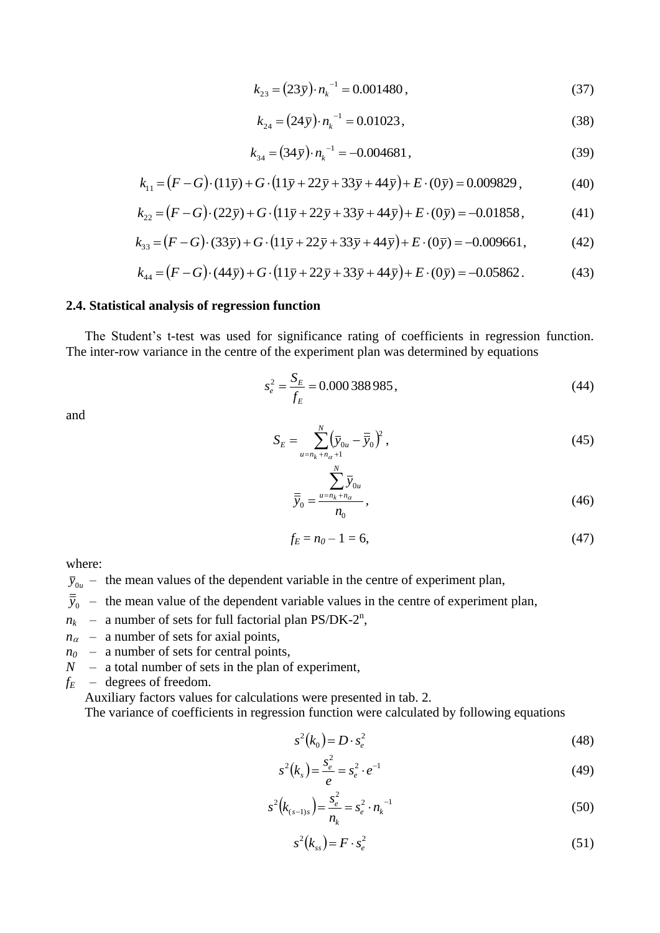$$
k_{23} = (23\bar{y}) \cdot n_k^{-1} = 0.001480\,,\tag{37}
$$

$$
k_{24} = (24\,\bar{y}) \cdot n_k^{-1} = 0.01023\,,\tag{38}
$$

$$
k_{34} = (34\bar{y}) \cdot n_k^{-1} = -0.004681,\tag{39}
$$

$$
k_{11} = (F - G) \cdot (11\bar{y}) + G \cdot (11\bar{y} + 22\bar{y} + 33\bar{y} + 44\bar{y}) + E \cdot (0\bar{y}) = 0.009829,
$$
 (40)

$$
k_{22} = (F - G) \cdot (22\bar{y}) + G \cdot (11\bar{y} + 22\bar{y} + 33\bar{y} + 44\bar{y}) + E \cdot (0\bar{y}) = -0.01858, \tag{41}
$$

$$
k_{33} = (F - G) \cdot (33\overline{y}) + G \cdot (11\overline{y} + 22\overline{y} + 33\overline{y} + 44\overline{y}) + E \cdot (0\overline{y}) = -0.009661,
$$
 (42)

$$
k_{44} = (F - G) \cdot (44\bar{y}) + G \cdot (11\bar{y} + 22\bar{y} + 33\bar{y} + 44\bar{y}) + E \cdot (0\bar{y}) = -0.05862.
$$
 (43)

#### **2.4. Statistical analysis of regression function**

The Student's t-test was used for significance rating of coefficients in regression function. The inter-row variance in the centre of the experiment plan was determined by equations

$$
s_e^2 = \frac{S_E}{f_E} = 0.000388985,
$$
\n(44)

and

$$
S_E = \sum_{\substack{u=n_k+n_{\alpha}+1\\N}}^{N} (\overline{y}_{0u} - \overline{\overline{y}}_0)^2,
$$
 (45)

$$
\overline{\overline{y}}_0 = \frac{\sum_{u=n_k+n_\alpha}^{N} \overline{y}_{0u}}{n_0},
$$
\n(46)

$$
f_E = n_0 - 1 = 6,\t\t(47)
$$

where:

- $\bar{y}_{0u}$  the mean values of the dependent variable in the centre of experiment plan,
- $\bar{y}_0$  the mean value of the dependent variable values in the centre of experiment plan,
- $n_k$  a number of sets for full factorial plan PS/DK-2<sup>n</sup>,
- $n_{\alpha}$  a number of sets for axial points,
- $n_0$  a number of sets for central points,
- *N* a total number of sets in the plan of experiment,
- $f_E$  degrees of freedom.

Auxiliary factors values for calculations were presented in tab. 2.

The variance of coefficients in regression function were calculated by following equations

$$
s^2(k_0) = D \cdot s_e^2 \tag{48}
$$

$$
s^{2}(k_{s}) = \frac{s_{e}^{2}}{e} = s_{e}^{2} \cdot e^{-1}
$$
 (49)

$$
s^{2}(k_{(s-1)s}) = \frac{s_{e}^{2}}{n_{k}} = s_{e}^{2} \cdot n_{k}^{-1}
$$
\n(50)

$$
s^2(k_{ss}) = F \cdot s_e^2 \tag{51}
$$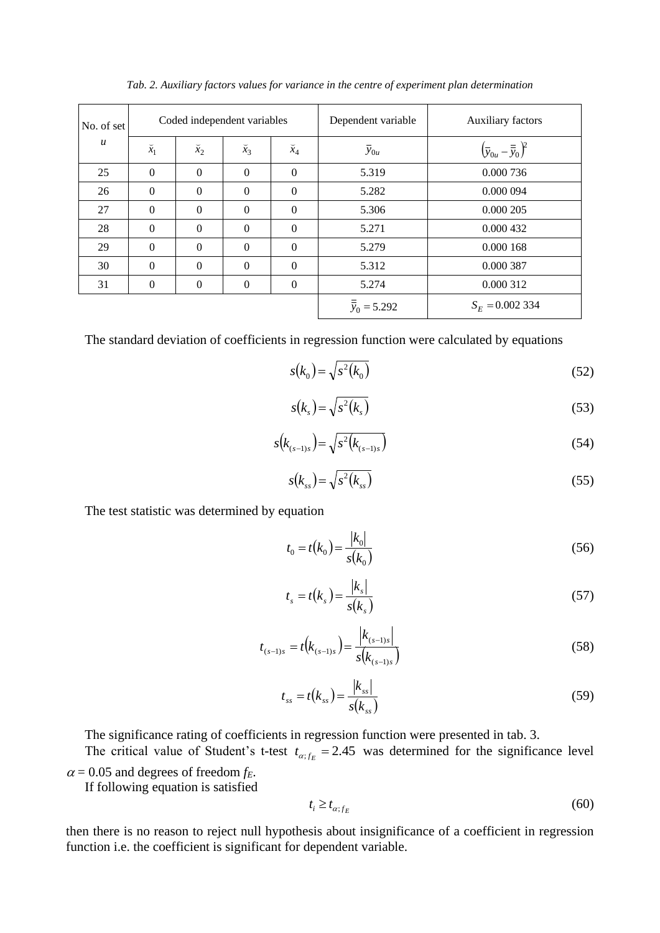| No. of set<br>$\boldsymbol{u}$ | Coded independent variables |                  |             |                  | Dependent variable      | Auxiliary factors                                            |
|--------------------------------|-----------------------------|------------------|-------------|------------------|-------------------------|--------------------------------------------------------------|
|                                | $\breve{x}_1$               | $\breve{x}_2$    | $\bar{x}_3$ | $\breve{x}_4$    | $\overline{y}_{0u}$     | $\left(\overline{y}_{0u}-\overline{\overline{y}}_0\right)^2$ |
| 25                             | $\mathbf{0}$                | $\mathbf{0}$     | $\Omega$    | $\mathbf{0}$     | 5.319                   | 0.000 736                                                    |
| 26                             | $\theta$                    | $\Omega$         | $\theta$    | $\theta$         | 5.282                   | 0.000 094                                                    |
| 27                             | $\Omega$                    | $\theta$         | $\Omega$    | $\mathbf{0}$     | 5.306                   | 0.000 205                                                    |
| 28                             | $\Omega$                    | $\Omega$         | $\Omega$    | $\mathbf{0}$     | 5.271                   | 0.000 432                                                    |
| 29                             | $\mathbf{0}$                | $\Omega$         | $\Omega$    | $\mathbf{0}$     | 5.279                   | 0.000 168                                                    |
| 30                             | $\theta$                    | $\Omega$         | $\Omega$    | $\Omega$         | 5.312                   | 0.000 387                                                    |
| 31                             | $\overline{0}$              | $\boldsymbol{0}$ | $\theta$    | $\boldsymbol{0}$ | 5.274                   | 0.000 312                                                    |
|                                |                             |                  |             |                  | $\frac{a}{y_0}$ = 5.292 | $S_E = 0.002334$                                             |

*Tab. 2. Auxiliary factors values for variance in the centre of experiment plan determination*

The standard deviation of coefficients in regression function were calculated by equations

$$
s(k_0) = \sqrt{s^2(k_0)}
$$
\n
$$
(52)
$$

$$
s(k_s) = \sqrt{s^2(k_s)}
$$
\n(53)

$$
s(k_{(s-1)s}) = \sqrt{s^2(k_{(s-1)s})}
$$
\n(54)

$$
s(k_{ss}) = \sqrt{s^2(k_{ss})}
$$
\n(55)

The test statistic was determined by equation

$$
t_0 = t(k_0) = \frac{|k_0|}{s(k_0)}
$$
\n(56)

$$
t_s = t(k_s) = \frac{|k_s|}{s(k_s)}
$$
\n
$$
(57)
$$

$$
t_{(s-1)s} = t(k_{(s-1)s}) = \frac{|k_{(s-1)s}|}{s(k_{(s-1)s})}
$$
\n(58)

$$
t_{ss} = t(k_{ss}) = \frac{|k_{ss}|}{s(k_{ss})}
$$
\n(59)

The significance rating of coefficients in regression function were presented in tab. 3.

The critical value of Student's t-test  $t_{\alpha;f_E} = 2.45$  was determined for the significance level  $\alpha$  = 0.05 and degrees of freedom  $f_E$ .

If following equation is satisfied

$$
t_i \ge t_{\alpha;f_E} \tag{60}
$$

then there is no reason to reject null hypothesis about insignificance of a coefficient in regression function i.e. the coefficient is significant for dependent variable.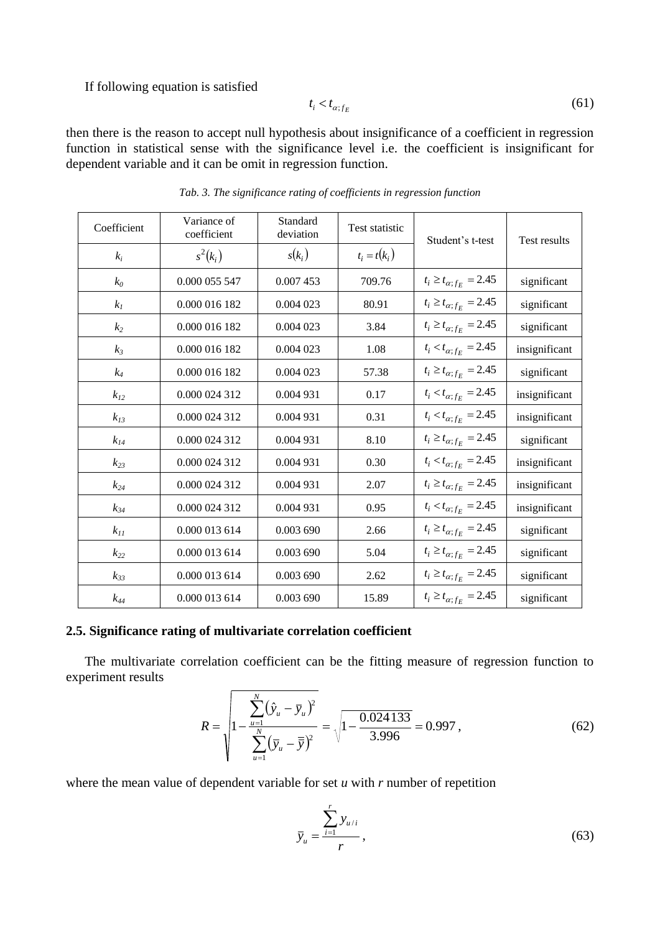### If following equation is satisfied

$$
t_i < t_{\alpha;f_E} \tag{61}
$$

 $\mathcal{L}$ 

then there is the reason to accept null hypothesis about insignificance of a coefficient in regression function in statistical sense with the significance level i.e. the coefficient is insignificant for dependent variable and it can be omit in regression function.

| Coefficient    | Variance of<br>coefficient | Standard<br>Test statistic<br>deviation |                | Student's t-test                 | Test results  |
|----------------|----------------------------|-----------------------------------------|----------------|----------------------------------|---------------|
| $k_i$          | $s^2(k_i)$                 | $s(k_i)$                                | $t_i = t(k_i)$ |                                  |               |
| $k_0$          | 0.000 055 547              | 0.007 453                               | 709.76         | $t_i \geq t_{\alpha;f_E} = 2.45$ | significant   |
| $k_I$          | 0.000 016 182              | 0.004 023                               | 80.91          | $t_i \geq t_{\alpha;f_E} = 2.45$ | significant   |
| k <sub>2</sub> | 0.000 016 182              | 0.004 023                               | 3.84           | $t_i \geq t_{\alpha;f_E} = 2.45$ | significant   |
| $k_3$          | 0.000 016 182              | 0.004 023                               | 1.08           | $t_i < t_{\alpha;f_E} = 2.45$    | insignificant |
| $k_4$          | 0.000 016 182              | 0.004 023                               | 57.38          | $t_i \geq t_{\alpha;f_E} = 2.45$ | significant   |
| $k_{12}$       | 0.000 024 312              | 0.004 931                               | 0.17           | $t_i < t_{\alpha;f_E} = 2.45$    | insignificant |
| $k_{13}$       | 0.000 024 312              | 0.004 931                               | 0.31           | $t_i < t_{\alpha;f_E} = 2.45$    | insignificant |
| $k_{I4}$       | 0.000 024 312              | 0.004 931                               | 8.10           | $t_i \geq t_{\alpha;f_E} = 2.45$ | significant   |
| $k_{23}$       | 0.000 024 312              | 0.004 931                               | 0.30           | $t_i < t_{\alpha;f_E} = 2.45$    | insignificant |
| $k_{24}$       | 0.000 024 312              | 0.004 931                               | 2.07           | $t_i \ge t_{\alpha;f_E} = 2.45$  | insignificant |
| $k_{34}$       | 0.000 024 312              | 0.004 931                               | 0.95           | $t_i < t_{\alpha;f_E} = 2.45$    | insignificant |
| $k_{II}$       | 0.000 013 614              | 0.003 690                               | 2.66           | $t_i \geq t_{\alpha;f_E} = 2.45$ | significant   |
| $k_{22}$       | 0.000 013 614              | 0.003 690                               | 5.04           | $t_i \ge t_{\alpha;f_E} = 2.45$  | significant   |
| $k_{33}$       | 0.000 013 614              | 0.003 690                               | 2.62           | $t_i \ge t_{\alpha;f_E} = 2.45$  | significant   |
| $k_{44}$       | 0.000 013 614              | 0.003 690                               | 15.89          | $t_i \ge t_{\alpha;f_E} = 2.45$  | significant   |

*Tab. 3. The significance rating of coefficients in regression function*

# **2.5. Significance rating of multivariate correlation coefficient**

The multivariate correlation coefficient can be the fitting measure of regression function to experiment results

$$
R = \sqrt{1 - \frac{\sum_{u=1}^{N} (\hat{y}_u - \bar{y}_u)^2}{\sum_{u=1}^{N} (\bar{y}_u - \bar{\bar{y}})^2}} = \sqrt{1 - \frac{0.024133}{3.996}} = 0.997,
$$
 (62)

where the mean value of dependent variable for set *u* with *r* number of repetition

$$
\overline{y}_u = \frac{\sum_{i=1}^r y_{u/i}}{r},\tag{63}
$$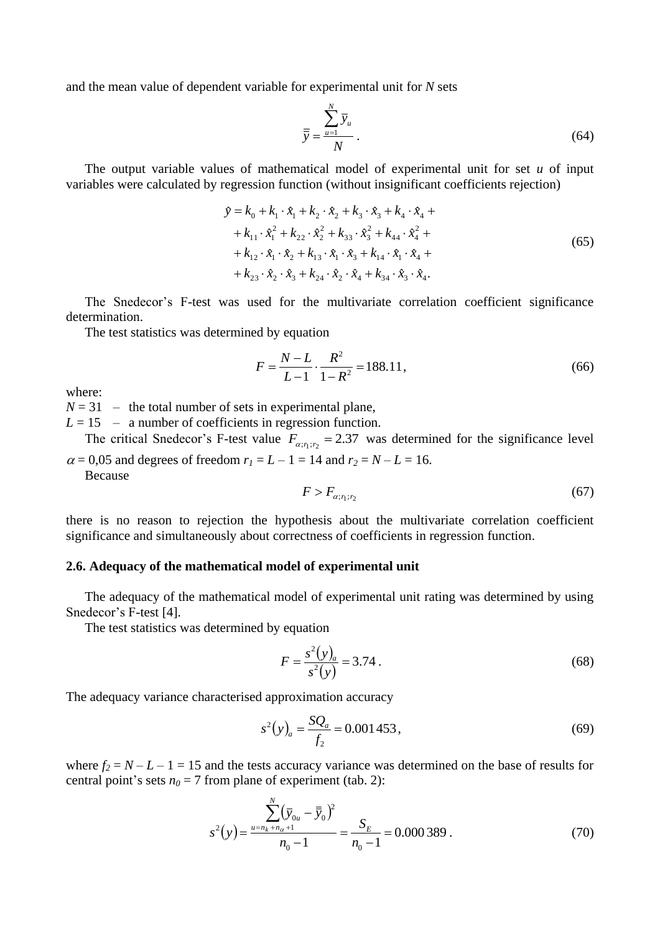and the mean value of dependent variable for experimental unit for *N* sets

$$
\overline{\overline{y}} = \frac{\sum_{u=1}^{N} \overline{y}_u}{N} \,. \tag{64}
$$

The output variable values of mathematical model of experimental unit for set *u* of input variables were calculated by regression function (without insignificant coefficients rejection)

$$
\hat{y} = k_0 + k_1 \cdot \hat{x}_1 + k_2 \cdot \hat{x}_2 + k_3 \cdot \hat{x}_3 + k_4 \cdot \hat{x}_4 ++ k_{11} \cdot \hat{x}_1^2 + k_{22} \cdot \hat{x}_2^2 + k_{33} \cdot \hat{x}_3^2 + k_{44} \cdot \hat{x}_4^2 ++ k_{12} \cdot \hat{x}_1 \cdot \hat{x}_2 + k_{13} \cdot \hat{x}_1 \cdot \hat{x}_3 + k_{14} \cdot \hat{x}_1 \cdot \hat{x}_4 ++ k_{23} \cdot \hat{x}_2 \cdot \hat{x}_3 + k_{24} \cdot \hat{x}_2 \cdot \hat{x}_4 + k_{34} \cdot \hat{x}_3 \cdot \hat{x}_4.
$$
\n(65)

The Snedecor's F-test was used for the multivariate correlation coefficient significance determination.

The test statistics was determined by equation

$$
F = \frac{N - L}{L - 1} \cdot \frac{R^2}{1 - R^2} = 188.11,\tag{66}
$$

where:

 $N = 31$  – the total number of sets in experimental plane,

 $L = 15 - a$  number of coefficients in regression function.

The critical Snedecor's F-test value  $F_{\alpha; r_1; r_2} = 2.37$  was determined for the significance level  $\alpha = 0.05$  and degrees of freedom  $r_1 = L - 1 = 14$  and  $r_2 = N - L = 16$ .

Because

$$
F > F_{\alpha; r_1; r_2} \tag{67}
$$

there is no reason to rejection the hypothesis about the multivariate correlation coefficient significance and simultaneously about correctness of coefficients in regression function.

## **2.6. Adequacy of the mathematical model of experimental unit**

The adequacy of the mathematical model of experimental unit rating was determined by using Snedecor's F-test [4].

22.23

The test statistics was determined by equation

$$
F = \frac{s^2(y)}{s^2(y)} = 3.74\,. \tag{68}
$$

The adequacy variance characterised approximation accuracy

$$
s^{2}(y)_{a} = \frac{SQ_{a}}{f_{2}} = 0.001453,
$$
\n(69)

where  $f_2 = N - L - 1 = 15$  and the tests accuracy variance was determined on the base of results for central point's sets  $n_0 = 7$  from plane of experiment (tab. 2):

$$
s^{2}(y) = \frac{\sum_{u=n_{k}+n_{\alpha}+1}^{N} (\bar{y}_{0u} - \bar{\bar{y}}_{0})^{2}}{n_{0} - 1} = \frac{S_{E}}{n_{0} - 1} = 0.000389.
$$
 (70)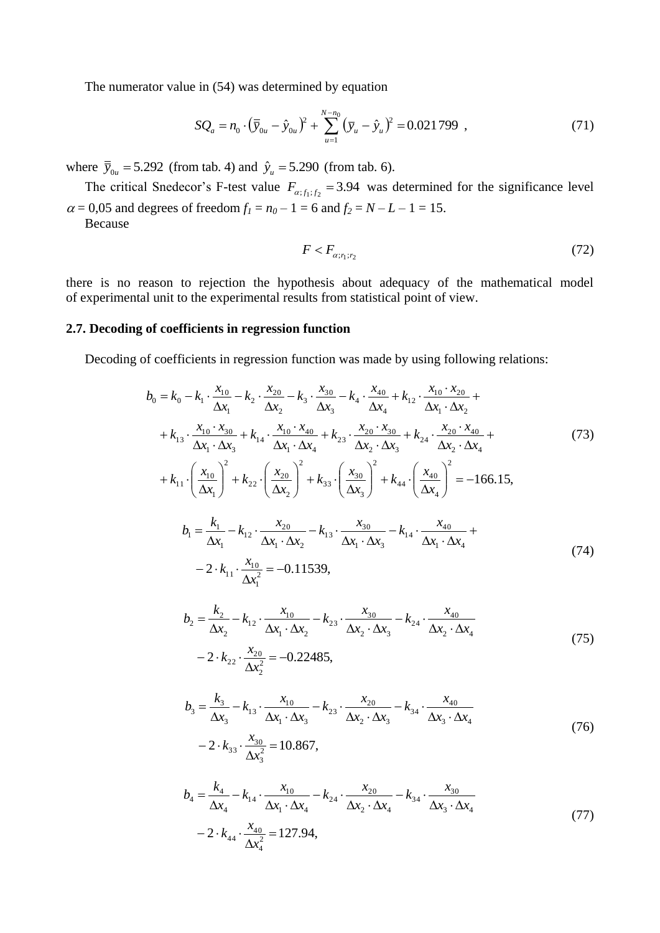The numerator value in (54) was determined by equation

$$
SQ_a = n_0 \cdot (\overline{\overline{y}}_{0u} - \hat{y}_{0u})^2 + \sum_{u=1}^{N-n_0} (\overline{y}_u - \hat{y}_u)^2 = 0.021799 , \qquad (71)
$$

where  $\bar{y}_{0u} = 5.292$  (from tab. 4) and  $\hat{y}_u = 5.290$  (from tab. 6).

The critical Snedecor's F-test value  $F_{\alpha;f_1;f_2} = 3.94$  was determined for the significance level  $\alpha = 0.05$  and degrees of freedom  $f_1 = n_0 - 1 = 6$  and  $f_2 = N - L - 1 = 15$ . Because

$$
F < F_{\alpha; r_1; r_2} \tag{72}
$$

there is no reason to rejection the hypothesis about adequacy of the mathematical model of experimental unit to the experimental results from statistical point of view.

# **2.7. Decoding of coefficients in regression function**

Decoding of coefficients in regression function was made by using following relations:

$$
b_0 = k_0 - k_1 \cdot \frac{x_{10}}{\Delta x_1} - k_2 \cdot \frac{x_{20}}{\Delta x_2} - k_3 \cdot \frac{x_{30}}{\Delta x_3} - k_4 \cdot \frac{x_{40}}{\Delta x_4} + k_{12} \cdot \frac{x_{10} \cdot x_{20}}{\Delta x_1 \cdot \Delta x_2} + + k_{13} \cdot \frac{x_{10} \cdot x_{30}}{\Delta x_1 \cdot \Delta x_3} + k_{14} \cdot \frac{x_{10} \cdot x_{40}}{\Delta x_1 \cdot \Delta x_4} + k_{23} \cdot \frac{x_{20} \cdot x_{30}}{\Delta x_2 \cdot \Delta x_3} + k_{24} \cdot \frac{x_{20} \cdot x_{40}}{\Delta x_2 \cdot \Delta x_4} + + k_{11} \cdot \left(\frac{x_{10}}{\Delta x_1}\right)^2 + k_{22} \cdot \left(\frac{x_{20}}{\Delta x_2}\right)^2 + k_{33} \cdot \left(\frac{x_{30}}{\Delta x_3}\right)^2 + k_{44} \cdot \left(\frac{x_{40}}{\Delta x_4}\right)^2 = -166.15,
$$
  

$$
b_1 = \frac{k_1}{\Delta x_1} - k_{12} \cdot \frac{x_{20}}{\Delta x_1 \cdot \Delta x_2} - k_{13} \cdot \frac{x_{30}}{\Delta x_1 \cdot \Delta x_3} - k_{14} \cdot \frac{x_{40}}{\Delta x_1 \cdot \Delta x_4} + - 2 \cdot k_{11} \cdot \frac{x_{10}}{\Delta x_1^2} = -0.11539,
$$
  

$$
b_2 = \frac{k_2}{\Delta x_1} - k_{12} \cdot \frac{x_{10}}{\Delta x_1 \cdot \Delta x_2} - k_{23} \cdot \frac{x_{30}}{\Delta x_1 \cdot \Delta x_3} - k_{24} \cdot \frac{x_{40}}{\Delta x_1 \cdot \Delta x_4}
$$
(74)

$$
\Delta x_2 = \Delta x_2 \Delta x_1 \cdot \Delta x_2 \Delta x_3 \Delta x_2 \cdot \Delta x_3 \Delta x_2 \cdot \Delta x_4
$$
  
-2 \cdot k\_{22} \cdot \frac{x\_{20}}{\Delta x\_2^2} = -0.22485, (75)

$$
b_3 = \frac{k_3}{\Delta x_3} - k_{13} \cdot \frac{x_{10}}{\Delta x_1 \cdot \Delta x_3} - k_{23} \cdot \frac{x_{20}}{\Delta x_2 \cdot \Delta x_3} - k_{34} \cdot \frac{x_{40}}{\Delta x_3 \cdot \Delta x_4}
$$
  
- 2 · k<sub>33</sub> ·  $\frac{x_{30}}{\Delta x_3^2}$  = 10.867, (76)

$$
b_4 = \frac{k_4}{\Delta x_4} - k_{14} \cdot \frac{x_{10}}{\Delta x_1 \cdot \Delta x_4} - k_{24} \cdot \frac{x_{20}}{\Delta x_2 \cdot \Delta x_4} - k_{34} \cdot \frac{x_{30}}{\Delta x_3 \cdot \Delta x_4}
$$
  
- 2 · k<sub>44</sub> ·  $\frac{x_{40}}{\Delta x_4^2}$  = 127.94, (77)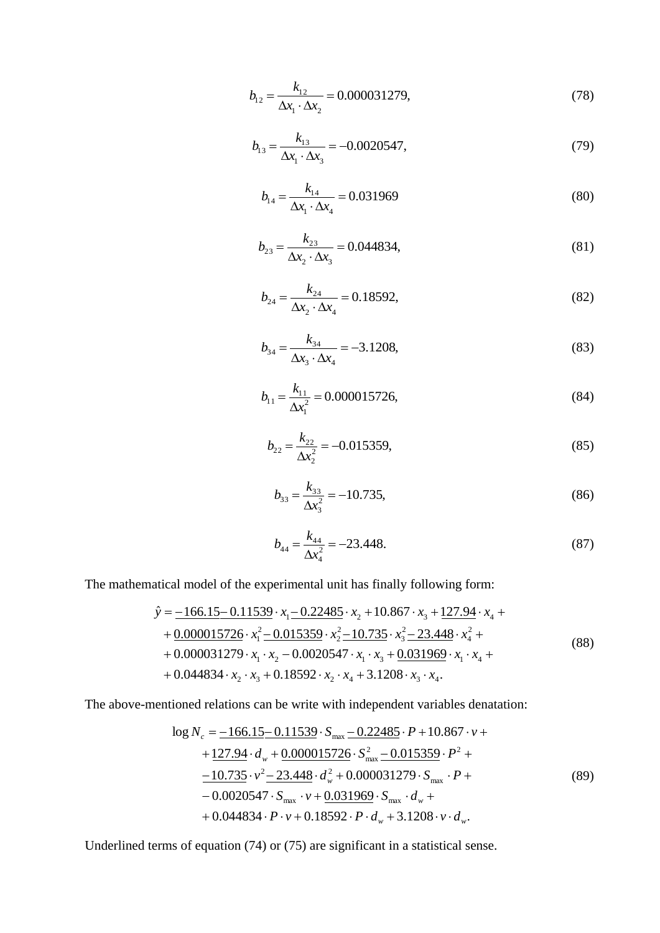$$
b_{12} = \frac{k_{12}}{\Delta x_1 \cdot \Delta x_2} = 0.000031279,
$$
\n(78)

$$
b_{13} = \frac{k_{13}}{\Delta x_1 \cdot \Delta x_3} = -0.0020547, \tag{79}
$$

$$
b_{14} = \frac{k_{14}}{\Delta x_1 \cdot \Delta x_4} = 0.031969
$$
 (80)

$$
b_{23} = \frac{k_{23}}{\Delta x_2 \cdot \Delta x_3} = 0.044834,
$$
\n(81)

$$
b_{24} = \frac{k_{24}}{\Delta x_2 \cdot \Delta x_4} = 0.18592,
$$
\n(82)

$$
b_{34} = \frac{k_{34}}{\Delta x_3 \cdot \Delta x_4} = -3.1208,\tag{83}
$$

$$
b_{11} = \frac{k_{11}}{\Delta x_1^2} = 0.000015726,
$$
\n(84)

$$
b_{22} = \frac{k_{22}}{\Delta x_2^2} = -0.015359,\tag{85}
$$

$$
b_{33} = \frac{k_{33}}{\Delta x_3^2} = -10.735,\tag{86}
$$

$$
b_{44} = \frac{k_{44}}{\Delta x_4^2} = -23.448. \tag{87}
$$

The mathematical model of the experimental unit has finally following form:

$$
\hat{y} = \frac{-166.15 - 0.11539 \cdot x_1 - 0.22485 \cdot x_2 + 10.867 \cdot x_3 + 127.94 \cdot x_4 + 0.000015726 \cdot x_1^2 - 0.015359 \cdot x_2^2 - 10.735 \cdot x_3^2 - 23.448 \cdot x_4^2 + 0.000031279 \cdot x_1 \cdot x_2 - 0.0020547 \cdot x_1 \cdot x_3 + \frac{0.031969 \cdot x_1 \cdot x_4 + 0.044834 \cdot x_2 \cdot x_3 + 0.18592 \cdot x_2 \cdot x_4 + 3.1208 \cdot x_3 \cdot x_4.
$$
\n(88)

The above-mentioned relations can be write with independent variables denatation:

$$
\log N_c = \frac{-166.15 - 0.11539 \cdot S_{\text{max}} - 0.22485 \cdot P + 10.867 \cdot \nu ++ \frac{127.94 \cdot d_w + 0.000015726 \cdot S_{\text{max}}^2 - 0.015359 \cdot P^2 +- \frac{10.735 \cdot \nu^2 - 23.448 \cdot d_w^2 + 0.000031279 \cdot S_{\text{max}} \cdot P +- 0.0020547 \cdot S_{\text{max}} \cdot \nu + \frac{0.031969 \cdot S_{\text{max}} \cdot d_w ++ 0.044834 \cdot P \cdot \nu + 0.18592 \cdot P \cdot d_w + 3.1208 \cdot \nu \cdot d_w.
$$
\n(89)

Underlined terms of equation (74) or (75) are significant in a statistical sense.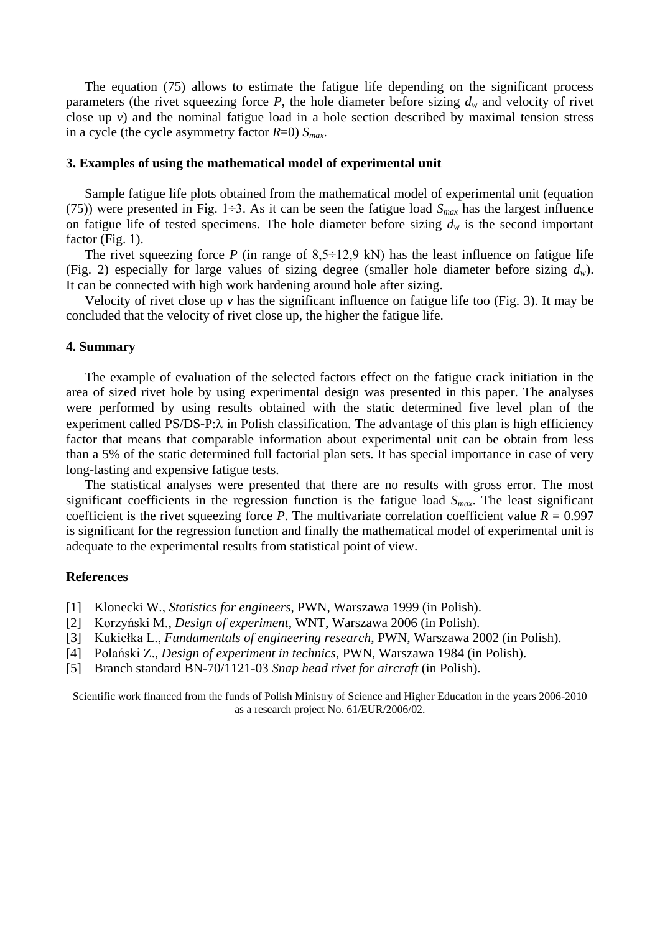The equation (75) allows to estimate the fatigue life depending on the significant process parameters (the rivet squeezing force  $P$ , the hole diameter before sizing  $d_w$  and velocity of rivet close up *v*) and the nominal fatigue load in a hole section described by maximal tension stress in a cycle (the cycle asymmetry factor *R*=0) *Smax*.

#### **3. Examples of using the mathematical model of experimental unit**

Sample fatigue life plots obtained from the mathematical model of experimental unit (equation (75)) were presented in Fig. 1÷3. As it can be seen the fatigue load  $S_{max}$  has the largest influence on fatigue life of tested specimens. The hole diameter before sizing  $d<sub>w</sub>$  is the second important factor (Fig. 1).

The rivet squeezing force *P* (in range of  $8,5\div 12,9$  kN) has the least influence on fatigue life (Fig. 2) especially for large values of sizing degree (smaller hole diameter before sizing *dw*). It can be connected with high work hardening around hole after sizing.

Velocity of rivet close up *v* has the significant influence on fatigue life too (Fig. 3). It may be concluded that the velocity of rivet close up, the higher the fatigue life.

#### **4. Summary**

The example of evaluation of the selected factors effect on the fatigue crack initiation in the area of sized rivet hole by using experimental design was presented in this paper. The analyses were performed by using results obtained with the static determined five level plan of the experiment called PS/DS-P: $\lambda$  in Polish classification. The advantage of this plan is high efficiency factor that means that comparable information about experimental unit can be obtain from less than a 5% of the static determined full factorial plan sets. It has special importance in case of very long-lasting and expensive fatigue tests.

The statistical analyses were presented that there are no results with gross error. The most significant coefficients in the regression function is the fatigue load *Smax*. The least significant coefficient is the rivet squeezing force *P*. The multivariate correlation coefficient value  $R = 0.997$ is significant for the regression function and finally the mathematical model of experimental unit is adequate to the experimental results from statistical point of view.

## **References**

- [1] Klonecki W., *Statistics for engineers*, PWN, Warszawa 1999 (in Polish).
- [2] Korzyński M., *Design of experiment*, WNT, Warszawa 2006 (in Polish).
- [3] Kukiełka L., *Fundamentals of engineering research*, PWN, Warszawa 2002 (in Polish).
- [4] Polański Z., *Design of experiment in technics*, PWN, Warszawa 1984 (in Polish).
- [5] Branch standard BN-70/1121-03 *Snap head rivet for aircraft* (in Polish).

Scientific work financed from the funds of Polish Ministry of Science and Higher Education in the years 2006-2010 as a research project No. 61/EUR/2006/02.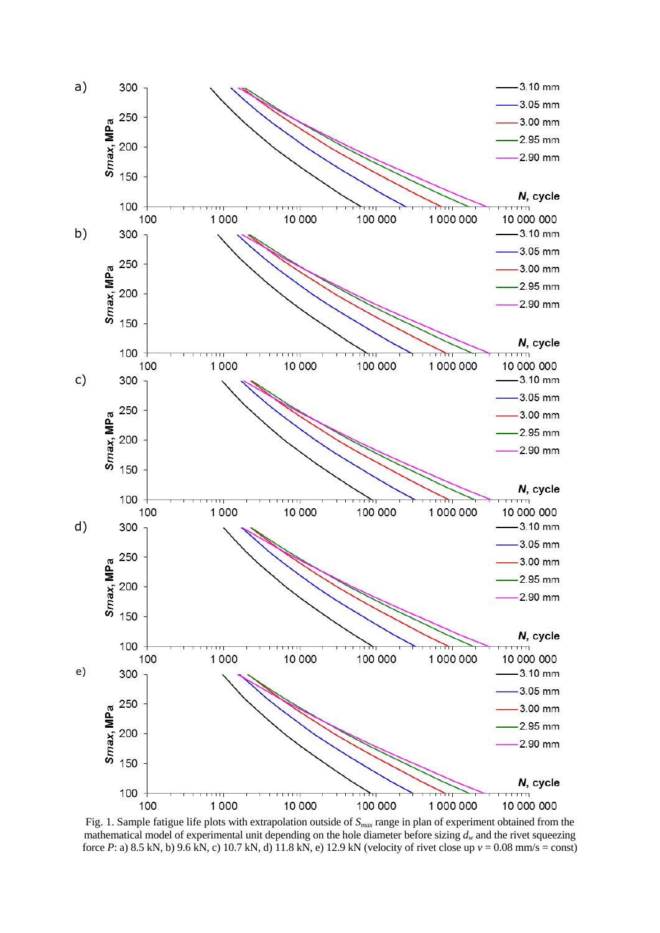

Fig. 1. Sample fatigue life plots with extrapolation outside of *Smax* range in plan of experiment obtained from the mathematical model of experimental unit depending on the hole diameter before sizing  $d<sub>w</sub>$  and the rivet squeezing force *P*: a) 8.5 kN, b) 9.6 kN, c) 10.7 kN, d) 11.8 kN, e) 12.9 kN (velocity of rivet close up *v* = 0.08 mm/s = const)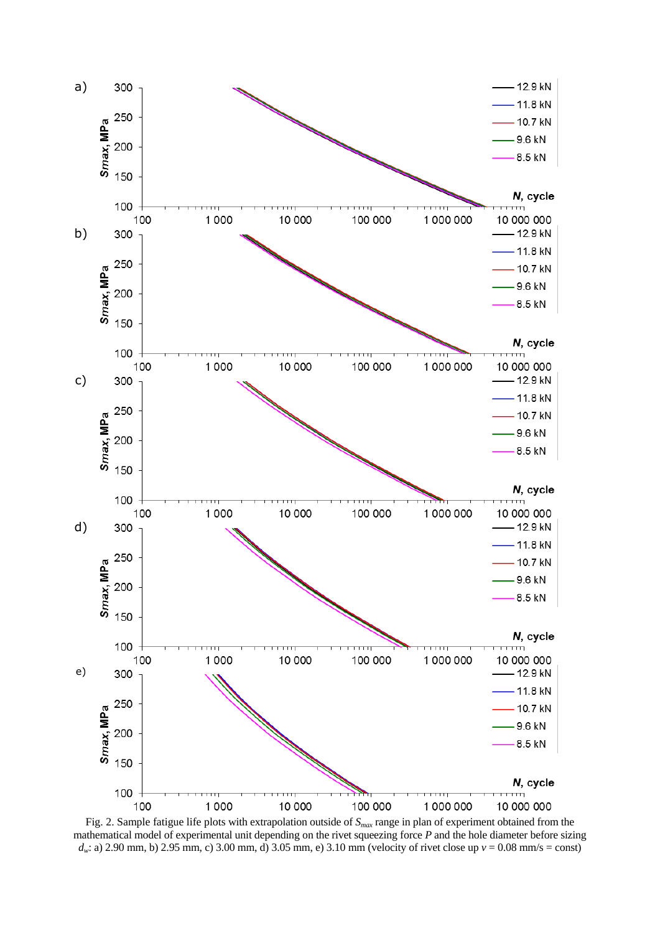

Fig. 2. Sample fatigue life plots with extrapolation outside of *Smax* range in plan of experiment obtained from the mathematical model of experimental unit depending on the rivet squeezing force *P* and the hole diameter before sizing  $d_w$ : a) 2.90 mm, b) 2.95 mm, c) 3.00 mm, d) 3.05 mm, e) 3.10 mm (velocity of rivet close up  $v = 0.08$  mm/s = const)